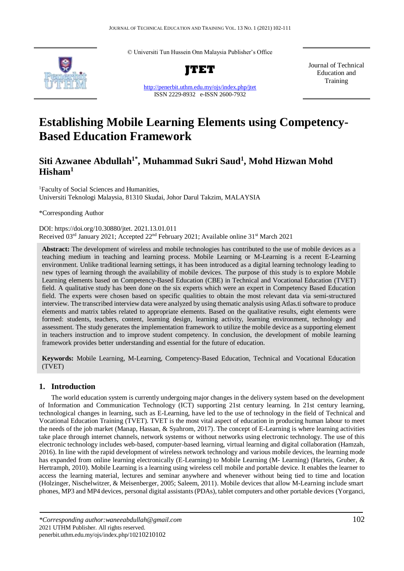© Universiti Tun Hussein Onn Malaysia Publisher's Office



**JTET**

<http://penerbit.uthm.edu.my/ojs/index.php/jtet> ISSN 2229-8932 e-ISSN 2600-7932

Journal of Technical Education and Training

# **Establishing Mobile Learning Elements using Competency-Based Education Framework**

## **Siti Azwanee Abdullah1\* , Muhammad Sukri Saud<sup>1</sup> , Mohd Hizwan Mohd Hisham<sup>1</sup>**

<sup>1</sup>Faculty of Social Sciences and Humanities, Universiti Teknologi Malaysia, 81310 Skudai, Johor Darul Takzim, MALAYSIA

\*Corresponding Author

DOI: https://doi.org/10.30880/jtet. 2021.13.01.011 Received 03<sup>rd</sup> January 2021; Accepted 22<sup>nd</sup> February 2021; Available online 31<sup>st</sup> March 2021

Abstract: The development of wireless and mobile technologies has contributed to the use of mobile devices as a teaching medium in teaching and learning process. Mobile Learning or M-Learning is a recent E-Learning environment. Unlike traditional learning settings, it has been introduced as a digital learning technology leading to new types of learning through the availability of mobile devices. The purpose of this study is to explore Mobile Learning elements based on Competency-Based Education (CBE) in Technical and Vocational Education (TVET) field. A qualitative study has been done on the six experts which were an expert in Competency Based Education field. The experts were chosen based on specific qualities to obtain the most relevant data via semi-structured interview. The transcribed interview data were analyzed by using thematic analysis using Atlas.ti software to produce elements and matrix tables related to appropriate elements. Based on the qualitative results, eight elements were formed: students, teachers, content, learning design, learning activity, learning environment, technology and assessment. The study generates the implementation framework to utilize the mobile device as a supporting element in teachers instruction and to improve student competency. In conclusion, the development of mobile learning framework provides better understanding and essential for the future of education.

**Keywords:** Mobile Learning, M-Learning, Competency-Based Education, Technical and Vocational Education (TVET)

### **1. Introduction**

The world education system is currently undergoing major changes in the delivery system based on the development of Information and Communication Technology (ICT) supporting 21st century learning. In 21st century learning, technological changes in learning, such as E-Learning, have led to the use of technology in the field of Technical and Vocational Education Training (TVET). TVET is the most vital aspect of education in producing human labour to meet the needs of the job market (Manap, Hassan, & Syahrom, 2017). The concept of E-Learning is where learning activities take place through internet channels, network systems or without networks using electronic technology. The use of this electronic technology includes web-based, computer-based learning, virtual learning and digital collaboration (Hamzah, 2016). In line with the rapid development of wireless network technology and various mobile devices, the learning mode has expanded from online learning electronically (E-Learning) to Mobile Learning (M- Learning) (Harteis, Gruber, & Hertramph, 2010). Mobile Learning is a learning using wireless cell mobile and portable device. It enables the learner to access the learning material, lectures and seminar anywhere and whenever without being tied to time and location (Holzinger, Nischelwitzer, & Meisenberger, 2005; Saleem, 2011). Mobile devices that allow M-Learning include smart phones, MP3 and MP4 devices, personal digital assistants (PDAs), tablet computers and other portable devices (Yorganci,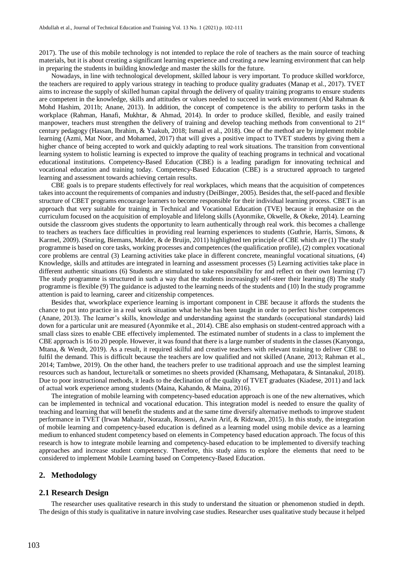2017). The use of this mobile technology is not intended to replace the role of teachers as the main source of teaching materials, but it is about creating a significant learning experience and creating a new learning environment that can help in preparing the students in building knowledge and master the skills for the future.

Nowadays, in line with technological development, skilled labour is very important. To produce skilled workforce, the teachers are required to apply various strategy in teaching to produce quality graduates (Manap et al., 2017). TVET aims to increase the supply of skilled human capital through the delivery of quality training programs to ensure students are competent in the knowledge, skills and attitudes or values needed to succeed in work environment (Abd Rahman & Mohd Hashim, 2011b; Anane, 2013). In addition, the concept of competence is the ability to perform tasks in the workplace (Rahman, Hanafi, Mukhtar, & Ahmad, 2014). In order to produce skilled, flexible, and easily trained manpower, teachers must strengthen the delivery of training and develop teaching methods from conventional to 21<sup>st</sup> century pedagogy (Hassan, Ibrahim, & Yaakub, 2018; Ismail et al., 2018). One of the method are by implement mobile learning (Azmi, Mat Noor, and Mohamed, 2017) that will gives a positive impact to TVET students by giving them a higher chance of being accepted to work and quickly adapting to real work situations. The transition from conventional learning system to holistic learning is expected to improve the quality of teaching programs in technical and vocational educational institutions. Competency-Based Education (CBE) is a leading paradigm for innovating technical and vocational education and training today. Competency-Based Education (CBE) is a structured approach to targeted learning and assessment towards achieving certain results.

CBE goals is to prepare students effectively for real workplaces, which means that the acquisition of competences takes into account the requirements of companies and industry (DeiBinger, 2005). Besides that, the self-paced and flexible structure of CBET programs encourage learners to become responsible for their individual learning process. CBET is an approach that very suitable for training in Technical and Vocational Education (TVE) because it emphasize on the curriculum focused on the acquisition of employable and lifelong skills (Ayonmike, Okwelle, & Okeke, 2014). Learning outside the classroom gives students the opportunity to learn authentically through real work. this becomes a challenge to teachers as teachers face difficulties in providing real learning experiences to students (Guthrie, Harris, Simons, & Karmel, 2009). (Sturing, Biemans, Mulder, & de Bruijn, 2011) highlighted ten principle of CBE which are (1) The study programme is based on core tasks, working processes and competences (the qualification profile), (2) complex vocational core problems are central (3) Learning activities take place in different concrete, meaningful vocational situations, (4) Knowledge, skills and attitudes are integrated in learning and assessment processes (5) Learning activities take place in different authentic situations (6) Students are stimulated to take responsibility for and reflect on their own learning (7) The study programme is structured in such a way that the students increasingly self-steer their learning (8) The study programme is flexible (9) The guidance is adjusted to the learning needs of the students and (10) In the study programme attention is paid to learning, career and citizenship competences.

Besides that, wworkplace experience learning is important component in CBE because it affords the students the chance to put into practice in a real work situation what he/she has been taught in order to perfect his/her competences (Anane, 2013). The learner's skills, knowledge and understanding against the standards (occupational standards) laid down for a particular unit are measured (Ayonmike et al., 2014). CBE also emphasis on student-centred approach with a small class sizes to enable CBE effectively implemented. The estimated number of students in a class to implement the CBE approach is 16 to 20 people. However, it was found that there is a large number of students in the classes (Kanyonga, Mtana, & Wendt, 2019). As a result, it required skilful and creative teachers with relevant training to deliver CBE to fulfil the demand. This is difficult because the teachers are low qualified and not skilled (Anane, 2013; Rahman et al., 2014; Tambwe, 2019). On the other hand, the teachers prefer to use traditional approach and use the simplest learning resources such as handout, lecture/talk or sometimes no sheets provided (Khamsang, Methapatara, & Sintanakul, 2018). Due to poor instructional methods, it leads to the declination of the quality of TVET graduates (Kiadese, 2011) and lack of actual work experience among students (Maina, Kahando, & Maina, 2016).

The integration of mobile learning with competency-based education approach is one of the new alternatives, which can be implemented in technical and vocational education. This integration model is needed to ensure the quality of teaching and learning that will benefit the students and at the same time diversify alternative methods to improve student performance in TVET (Irwan Mahazir, Norazah, Rosseni, Azwin Arif, & Ridzwan, 2015). In this study, the integration of mobile learning and competency-based education is defined as a learning model using mobile device as a learning medium to enhanced student competency based on elements in Competency based education approach. The focus of this research is how to integrate mobile learning and competency-based education to be implemented to diversify teaching approaches and increase student competency. Therefore, this study aims to explore the elements that need to be considered to implement Mobile Learning based on Competency-Based Education.

#### **2. Methodology**

#### **2.1 Research Design**

The researcher uses qualitative research in this study to understand the situation or phenomenon studied in depth. The design of this study is qualitative in nature involving case studies. Researcher uses qualitative study because it helped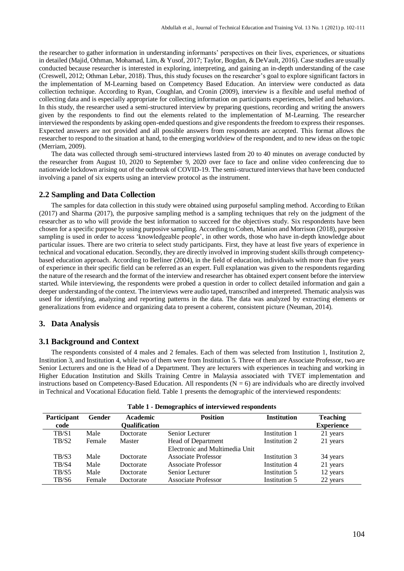the researcher to gather information in understanding informants' perspectives on their lives, experiences, or situations in detailed (Majid, Othman, Mohamad, Lim, & Yusof, 2017; Taylor, Bogdan, & DeVault, 2016). Case studies are usually conducted because researcher is interested in exploring, interpreting, and gaining an in-depth understanding of the case (Creswell, 2012; Othman Lebar, 2018). Thus, this study focuses on the researcher's goal to explore significant factors in the implementation of M-Learning based on Competency Based Education. An interview were conducted as data collection technique. According to Ryan, Coughlan, and Cronin (2009), interview is a flexible and useful method of collecting data and is especially appropriate for collecting information on participants experiences, belief and behaviors. In this study, the researcher used a semi-structured interview by preparing questions, recording and writing the answers given by the respondents to find out the elements related to the implementation of M-Learning. The researcher interviewed the respondents by asking open-ended questions and give respondents the freedom to express their responses. Expected answers are not provided and all possible answers from respondents are accepted. This format allows the researcher to respond to the situation at hand, to the emerging worldview of the respondent, and to new ideas on the topic (Merriam, 2009).

The data was collected through semi-structured interviews lasted from 20 to 40 minutes on average conducted by the researcher from August 10, 2020 to September 9, 2020 over face to face and online video conferencing due to nationwide lockdown arising out of the outbreak of COVID-19. The semi-structured interviews that have been conducted involving a panel of six experts using an interview protocol as the instrument.

#### **2.2 Sampling and Data Collection**

The samples for data collection in this study were obtained using purposeful sampling method. According to Etikan (2017) and Sharma (2017), the purposive sampling method is a sampling techniques that rely on the judgment of the researcher as to who will provide the best information to succeed for the objectives study. Six respondents have been chosen for a specific purpose by using purposive sampling. According to Cohen, Manion and Morrison (2018), purposive sampling is used in order to access 'knowledgeable people', in other words, those who have in-depth knowledge about particular issues. There are two criteria to select study participants. First, they have at least five years of experience in technical and vocational education. Secondly, they are directly involved in improving student skills through competencybased education approach. According to Berliner (2004), in the field of education, individuals with more than five years of experience in their specific field can be referred as an expert. Full explanation was given to the respondents regarding the nature of the research and the format of the interview and researcher has obtained expert consent before the interview started. While interviewing, the respondents were probed a question in order to collect detailed information and gain a deeper understanding of the context. The interviews were audio taped, transcribed and interpreted. Thematic analysis was used for identifying, analyzing and reporting patterns in the data. The data was analyzed by extracting elements or generalizations from evidence and organizing data to present a coherent, consistent picture (Neuman, 2014).

#### **3. Data Analysis**

#### **3.1 Background and Context**

The respondents consisted of 4 males and 2 females. Each of them was selected from Institution 1, Institution 2, Institution 3, and Institution 4, while two of them were from Institution 5. Three of them are Associate Professor, two are Senior Lecturers and one is the Head of a Department. They are lecturers with experiences in teaching and working in Higher Education Institution and Skills Training Centre in Malaysia associated with TVET implementation and instructions based on Competency-Based Education. All respondents  $(N = 6)$  are individuals who are directly involved in Technical and Vocational Education field. Table 1 presents the demographic of the interviewed respondents:

| Table 1 - Deniveraphics of filter viewed respondents |        |                      |                                |                    |                   |
|------------------------------------------------------|--------|----------------------|--------------------------------|--------------------|-------------------|
| Participant                                          | Gender | <b>Academic</b>      | <b>Position</b>                | <b>Institution</b> | <b>Teaching</b>   |
| code                                                 |        | <b>Qualification</b> |                                |                    | <b>Experience</b> |
| TB/S1                                                | Male   | Doctorate            | Senior Lecturer                | Institution 1      | 21 years          |
| TB/S2                                                | Female | Master               | Head of Department             | Institution 2      | 21 years          |
|                                                      |        |                      | Electronic and Multimedia Unit |                    |                   |
| TB/S3                                                | Male   | Doctorate            | Associate Professor            | Institution 3      | 34 years          |
| TB/S4                                                | Male   | Doctorate            | Associate Professor            | Institution 4      | 21 years          |
| TB/S5                                                | Male   | Doctorate            | Senior Lecturer                | Institution 5      | 12 years          |
| TB/S6                                                | Female | Doctorate            | <b>Associate Professor</b>     | Institution 5      | 22 years          |

| Table 1 - Demographics of interviewed respondents |  |  |  |  |  |
|---------------------------------------------------|--|--|--|--|--|
|---------------------------------------------------|--|--|--|--|--|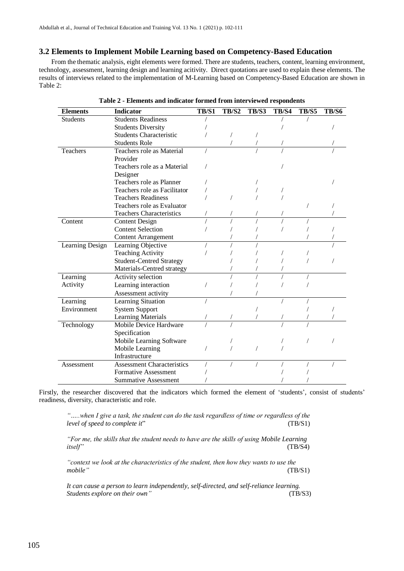#### **3.2 Elements to Implement Mobile Learning based on Competency-Based Education**

From the thematic analysis, eight elements were formed. There are students, teachers, content, learning environment, technology, assessment, learning design and learning acitivity. Direct quotations are used to explain these elements. The results of interviews related to the implementation of M-Learning based on Competency-Based Education are shown in Table 2:

| <b>Elements</b> | <b>Indicator</b>                  | TB/S1 | <b>TB/S2</b> | <b>TB/S3</b> | <b>TB/S4</b> | <b>TB/S5</b> | <b>TB/S6</b> |
|-----------------|-----------------------------------|-------|--------------|--------------|--------------|--------------|--------------|
| <b>Students</b> | <b>Students Readiness</b>         |       |              |              |              |              |              |
|                 | <b>Students Diversity</b>         |       |              |              |              |              |              |
|                 | <b>Students Characteristic</b>    |       |              |              |              |              |              |
|                 | <b>Students Role</b>              |       |              |              |              |              |              |
| Teachers        | Teachers role as Material         |       |              |              |              |              |              |
|                 | Provider                          |       |              |              |              |              |              |
|                 | Teachers role as a Material       |       |              |              |              |              |              |
|                 | Designer                          |       |              |              |              |              |              |
|                 | Teachers role as Planner          |       |              |              |              |              |              |
|                 | Teachers role as Facilitator      |       |              |              |              |              |              |
|                 | <b>Teachers Readiness</b>         |       |              |              |              |              |              |
|                 | Teachers role as Evaluator        |       |              |              |              |              |              |
|                 | <b>Teachers Characteristics</b>   |       |              |              |              |              |              |
| Content         | <b>Content Design</b>             |       |              |              |              |              |              |
|                 | <b>Content Selection</b>          |       |              |              |              |              |              |
|                 | <b>Content Arrangement</b>        |       |              |              |              |              |              |
| Learning Design | Learning Objective                |       |              |              |              |              |              |
|                 | <b>Teaching Activity</b>          |       |              |              |              |              |              |
|                 | <b>Student-Centred Strategy</b>   |       |              |              |              |              |              |
|                 | Materials-Centred strategy        |       |              |              |              |              |              |
| Learning        | Activity selection                |       |              |              |              |              |              |
| Activity        | Learning interaction              |       |              |              |              |              |              |
|                 | Assessment activity               |       |              |              |              |              |              |
| Learning        | Learning Situation                |       |              |              |              |              |              |
| Environment     | <b>System Support</b>             |       |              |              |              |              |              |
|                 | <b>Learning Materials</b>         |       |              |              |              |              |              |
| Technology      | Mobile Device Hardware            |       |              |              |              |              |              |
|                 | Specification                     |       |              |              |              |              |              |
|                 | Mobile Learning Software          |       |              |              |              |              |              |
|                 | Mobile Learning                   |       |              |              |              |              |              |
|                 | Infrastructure                    |       |              |              |              |              |              |
| Assessment      | <b>Assessment Characteristics</b> |       |              |              |              |              |              |
|                 | <b>Formative Assessment</b>       |       |              |              |              |              |              |
|                 | <b>Summative Assessment</b>       |       |              |              |              |              |              |

|  | Table 2 - Elements and indicator formed from interviewed respondents |  |  |  |
|--|----------------------------------------------------------------------|--|--|--|
|--|----------------------------------------------------------------------|--|--|--|

Firstly, the researcher discovered that the indicators which formed the element of 'students', consist of students' readiness, diversity, characteristic and role.

*"…..when I give a task, the student can do the task regardless of time or regardless of the level of speed to complete it*" (TB/S1)

*"For me, the skills that the student needs to have are the skills of using Mobile Learning itself"* (TB/S4)

*"context we look at the characteristics of the student, then how they wants to use the mobile"* (TB/S1)

*It can cause a person to learn independently, self-directed, and self-reliance learning. Students explore on their own"* (TB/S3)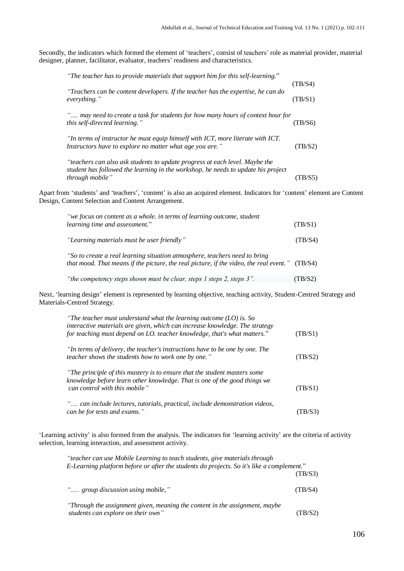Secondly, the indicators which formed the element of 'teachers', consist of teachers' role as material provider, material designer, planner, facilitator, evaluator, teachers' readiness and characteristics.

| "The teacher has to provide materials that support him for this self-learning."                  |         |
|--------------------------------------------------------------------------------------------------|---------|
|                                                                                                  | (TB/S4) |
| "Teachers can be content developers. If the teacher has the expertise, he can do<br>everything." | (TB/S1) |
| " may need to create a task for students for how many hours of context hour for                  |         |
| this self-directed learning."                                                                    | (TB/S6) |
| "In terms of instructor he must equip himself with ICT, more literate with ICT.                  |         |
| Instructors have to explore no matter what age you are."                                         | (TB/S2) |
| "teachers can also ask students to update progress at each level. Maybe the                      |         |
| student has followed the learning in the workshop, he needs to update his project                |         |
| through mobile"                                                                                  | (TB/S5) |

Apart from 'students' and 'teachers', 'content' is also an acquired element. Indicators for 'content' element are Content Design, Content Selection and Content Arrangement.

| "we focus on content as a whole. in terms of learning outcome, student<br>learning time and assessment."                                                                     | (TB/S1) |
|------------------------------------------------------------------------------------------------------------------------------------------------------------------------------|---------|
| "Learning materials must be user friendly"                                                                                                                                   | (TB/S4) |
| "So to create a real learning situation atmosphere, teachers need to bring<br>that mood. That means if the picture, the real picture, if the video, the real event." (TB/S4) |         |

*"the competency steps shown must be clear, steps 1 steps 2, steps 3".* (TB/S2)

Next, 'learning design' element is represented by learning objective, teaching activity, Student-Centred Strategy and Materials-Centred Strategy.

| "The teacher must understand what the learning outcome $(LO)$ is. So<br>interactive materials are given, which can increase knowledge. The strategy<br>for teaching must depend on LO. teacher knowledge, that's what matters." | (TB/S1) |
|---------------------------------------------------------------------------------------------------------------------------------------------------------------------------------------------------------------------------------|---------|
| "In terms of delivery, the teacher's instructions have to be one by one. The<br>teacher shows the students how to work one by one."                                                                                             | (TB/S2) |
| "The principle of this mastery is to ensure that the student masters some<br>knowledge before learn other knowledge. That is one of the good things we<br>can control with this mobile"                                         | (TB/S1) |
| " can include lectures, tutorials, practical, include demonstration videos,<br>can be for tests and exams."                                                                                                                     | (TB/S3) |

'Learning activity' is also formed from the analysis. The indicators for 'learning activity' are the criteria of activity selection, learning interaction, and assessment activity.

| <i>"teacher can use Mobile Learning to teach students, give materials through</i><br>E-Learning platform before or after the students do projects. So it's like a complement." |         |
|--------------------------------------------------------------------------------------------------------------------------------------------------------------------------------|---------|
|                                                                                                                                                                                | (TB/S3) |
| ", group discussion using mobile,"                                                                                                                                             | (TB/S4) |
| "Through the assignment given, meaning the content in the assignment, maybe<br>students can explore on their own"                                                              | (TB/S2) |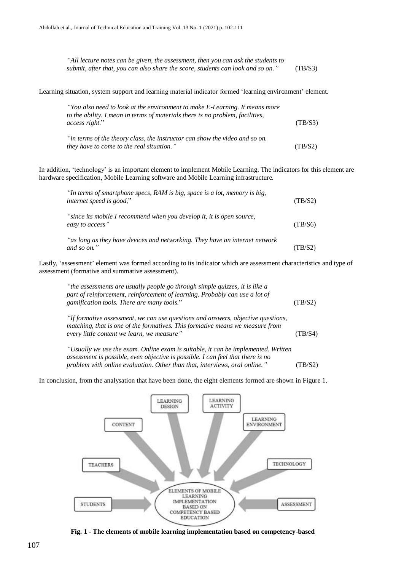| "All lecture notes can be given, the assessment, then you can ask the students to |         |
|-----------------------------------------------------------------------------------|---------|
| submit, after that, you can also share the score, students can look and so on."   | (TB/S3) |

Learning situation, system support and learning material indicator formed 'learning environment' element.

| "You also need to look at the environment to make E-Learning. It means more<br>to the ability. I mean in terms of materials there is no problem, facilities, |         |
|--------------------------------------------------------------------------------------------------------------------------------------------------------------|---------|
| access right."                                                                                                                                               | (TB/S3) |
| "in terms of the theory class, the instructor can show the video and so on.                                                                                  |         |
| they have to come to the real situation."                                                                                                                    | (TB/S2) |

In addition, 'technology' is an important element to implement Mobile Learning. The indicators for this element are hardware specification, Mobile Learning software and Mobile Learning infrastructure.

| "In terms of smartphone specs, RAM is big, space is a lot, memory is big,<br>internet speed is good," | (TB/S2) |
|-------------------------------------------------------------------------------------------------------|---------|
| "since its mobile I recommend when you develop it, it is open source,<br>easy to access"              | (TB/S6) |
| "as long as they have devices and networking. They have an internet network<br>and so on."            | (TB/S2) |

Lastly, 'assessment' element was formed according to its indicator which are assessment characteristics and type of assessment (formative and summative assessment).

| "the assessments are usually people go through simple quizzes, it is like a<br>part of reinforcement, reinforcement of learning. Probably can use a lot of<br>gamification tools. There are many tools."        | (TB/S2) |
|-----------------------------------------------------------------------------------------------------------------------------------------------------------------------------------------------------------------|---------|
| "If formative assessment, we can use questions and answers, objective questions,<br>matching, that is one of the formatives. This formative means we measure from<br>every little content we learn, we measure" | (TB/S4) |
| "Usually we use the exam. Online exam is suitable, it can be implemented. Written<br>assessment is possible, even objective is possible. I can feel that there is no                                            |         |

*problem with online evaluation. Other than that, interviews, oral online."* (TB/S2)





**Fig. 1 - The elements of mobile learning implementation based on competency-based**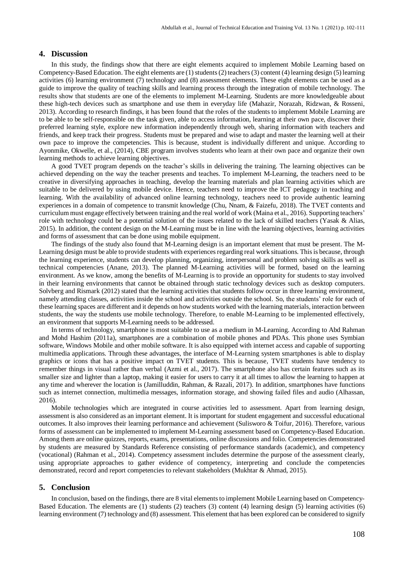#### **4. Discussion**

In this study, the findings show that there are eight elements acquired to implement Mobile Learning based on Competency-Based Education. The eight elements are (1) students(2) teachers(3) content (4) learning design (5) learning activities (6) learning environment (7) technology and (8) assessment elements. These eight elements can be used as a guide to improve the quality of teaching skills and learning process through the integration of mobile technology. The results show that students are one of the elements to implement M-Learning. Students are more knowledgeable about these high-tech devices such as smartphone and use them in everyday life (Mahazir, Norazah, Ridzwan, & Rosseni, 2013). According to research findings, it has been found that the roles of the students to implement Mobile Learning are to be able to be self-responsible on the task given, able to access information, learning at their own pace, discover their preferred learning style, explore new information independently through web, sharing information with teachers and friends, and keep track their progress. Students must be prepared and wise to adapt and master the learning well at their own pace to improve the competencies. This is because, student is individually different and unique. According to Ayonmike, Okwelle, et al., (2014), CBE program involves students who learn at their own pace and organize their own learning methods to achieve learning objectives.

A good TVET program depends on the teacher's skills in delivering the training. The learning objectives can be achieved depending on the way the teacher presents and teaches. To implement M-Learning, the teachers need to be creative in diversifying approaches in teaching, develop the learning materials and plan learning activities which are suitable to be delivered by using mobile device. Hence, teachers need to improve the ICT pedagogy in teaching and learning. With the availability of advanced online learning technology, teachers need to provide authentic learning experiences in a domain of competence to transmit knowledge (Chu, Nnam, & Faizefu, 2018). The TVET contents and curriculum must engage effectively between training and the real world of work (Maina et al., 2016). Supporting teachers' role with technology could be a potential solution of the issues related to the lack of skilled teachers (Yasak & Alias, 2015). In addition, the content design on the M-Learning must be in line with the learning objectives, learning activities and forms of assessment that can be done using mobile equipment.

The findings of the study also found that M-Learning design is an important element that must be present. The M-Learning design must be able to provide students with experiences regarding real work situations. This is because, through the learning experience, students can develop planning, organizing, interpersonal and problem solving skills as well as technical competencies (Anane, 2013). The planned M-Learning activities will be formed, based on the learning environment. As we know, among the benefits of M-Learning is to provide an opportunity for students to stay involved in their learning environments that cannot be obtained through static technology devices such as desktop computers. Solvberg and Rismark (2012) stated that the learning activities that students follow occur in three learning environment, namely attending classes, activities inside the school and activities outside the school. So, the students' role for each of these learning spaces are different and it depends on how students worked with the learning materials, interaction between students, the way the students use mobile technology. Therefore, to enable M-Learning to be implemented effectively, an environment that supports M-Learning needs to be addressed.

In terms of technology, smartphone is most suitable to use as a medium in M-Learning. According to Abd Rahman and Mohd Hashim (2011a), smartphones are a combination of mobile phones and PDAs. This phone uses Symbian software, Windows Mobile and other mobile software. It is also equipped with internet access and capable of supporting multimedia applications. Through these advantages, the interface of M-Learning system smartphones is able to display graphics or icons that has a positive impact on TVET students. This is because, TVET students have tendency to remember things in visual rather than verbal (Azmi et al., 2017). The smartphone also has certain features such as its smaller size and lighter than a laptop, making it easier for users to carry it at all times to allow the learning to happen at any time and wherever the location is (Jamilluddin, Rahman, & Razali, 2017). In addition, smartphones have functions such as internet connection, multimedia messages, information storage, and showing failed files and audio (Alhassan, 2016).

Mobile technologies which are integrated in course activities led to assessment. Apart from learning design, assessment is also considered as an important element. It is important for student engagement and successful educational outcomes. It also improves their learning performance and achievement (Sulisworo & Toifur, 2016). Therefore, various forms of assessment can be implemented to implement M-Learning assessment based on Competency-Based Education. Among them are online quizzes, reports, exams, presentations, online discussions and folio. Competencies demonstrated by students are measured by Standards Reference consisting of performance standards (academic), and competency (vocational) (Rahman et al., 2014). Competency assessment includes determine the purpose of the assessment clearly, using appropriate approaches to gather evidence of competency, interpreting and conclude the competencies demonstrated, record and report competencies to relevant stakeholders (Mukhtar & Ahmad, 2015).

#### **5. Conclusion**

In conclusion, based on the findings, there are 8 vital elements to implement Mobile Learning based on Competency-Based Education. The elements are (1) students (2) teachers (3) content (4) learning design (5) learning activities (6) learning environment (7) technology and (8) assessment. This element that has been explored can be considered to signify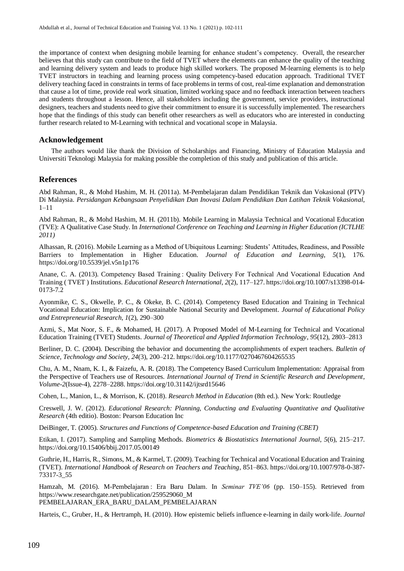the importance of context when designing mobile learning for enhance student's competency. Overall, the researcher believes that this study can contribute to the field of TVET where the elements can enhance the quality of the teaching and learning delivery system and leads to produce high skilled workers. The proposed M-learning elements is to help TVET instructors in teaching and learning process using competency-based education approach. Traditional TVET delivery teaching faced in constraints in terms of face problems in terms of cost, real-time explanation and demonstration that cause a lot of time, provide real work situation, limited working space and no feedback interaction between teachers and students throughout a lesson. Hence, all stakeholders including the government, service providers, instructional designers, teachers and students need to give their commitment to ensure it is successfully implemented. The researchers hope that the findings of this study can benefit other researchers as well as educators who are interested in conducting further research related to M-Learning with technical and vocational scope in Malaysia.

#### **Acknowledgement**

The authors would like thank the Division of Scholarships and Financing, Ministry of Education Malaysia and Universiti Teknologi Malaysia for making possible the completion of this study and publication of this article.

#### **References**

Abd Rahman, R., & Mohd Hashim, M. H. (2011a). M-Pembelajaran dalam Pendidikan Teknik dan Vokasional (PTV) Di Malaysia. *Persidangan Kebangsaan Penyelidikan Dan Inovasi Dalam Pendidikan Dan Latihan Teknik Vokasional*, 1–11

Abd Rahman, R., & Mohd Hashim, M. H. (2011b). Mobile Learning in Malaysia Technical and Vocational Education (TVE): A Qualitative Case Study. In *International Conference on Teaching and Learning in Higher Education (ICTLHE 2011)*

Alhassan, R. (2016). Mobile Learning as a Method of Ubiquitous Learning: Students' Attitudes, Readiness, and Possible Barriers to Implementation in Higher Education. *Journal of Education and Learning*, *5*(1), 176. https://doi.org/10.5539/jel.v5n1p176

Anane, C. A. (2013). Competency Based Training : Quality Delivery For Technical And Vocational Education And Training ( TVET ) Institutions. *Educational Research International*, *2*(2), 117–127. https://doi.org/10.1007/s13398-014- 0173-7.2

Ayonmike, C. S., Okwelle, P. C., & Okeke, B. C. (2014). Competency Based Education and Training in Technical Vocational Education: Implication for Sustainable National Security and Development. *Journal of Educational Policy and Entrepreneurial Research*, *1*(2), 290–300

Azmi, S., Mat Noor, S. F., & Mohamed, H. (2017). A Proposed Model of M-Learning for Technical and Vocational Education Training (TVET) Students. *Journal of Theoretical and Applied Information Technology*, *95*(12), 2803–2813

Berliner, D. C. (2004). Describing the behavior and documenting the accomplishments of expert teachers. *Bulletin of Science, Technology and Society*, *24*(3), 200–212. https://doi.org/10.1177/0270467604265535

Chu, A. M., Nnam, K. I., & Faizefu, A. R. (2018). The Competency Based Curriculum Implementation: Appraisal from the Perspective of Teachers use of Resources. *International Journal of Trend in Scientific Research and Development*, *Volume*-*2*(Issue-4), 2278–2288. https://doi.org/10.31142/ijtsrd15646

Cohen, L., Manion, L., & Morrison, K. (2018). *Research Method in Education* (8th ed.). New York: Routledge

Creswell, J. W. (2012). *Educational Research: Planning, Conducting and Evaluating Quantitative and Qualitative Research* (4th editio). Boston: Pearson Education Inc

DeiBinger, T. (2005). *Structures and Functions of Competence-based Education and Training (CBET)*

Etikan, I. (2017). Sampling and Sampling Methods. *Biometrics & Biostatistics International Journal*, *5*(6), 215–217. https://doi.org/10.15406/bbij.2017.05.00149

Guthrie, H., Harris, R., Simons, M., & Karmel, T. (2009). Teaching for Technical and Vocational Education and Training (TVET). *International Handbook of Research on Teachers and Teaching*, 851–863. https://doi.org/10.1007/978-0-387- 73317-3\_55

Hamzah, M. (2016). M-Pembelajaran : Era Baru Dalam. In *Seminar TVE'06* (pp. 150–155). Retrieved from https://www.researchgate.net/publication/259529060\_M PEMBELAJARAN\_ERA\_BARU\_DALAM\_PEMBELAJARAN

Harteis, C., Gruber, H., & Hertramph, H. (2010). How epistemic beliefs influence e-learning in daily work-life. *Journal*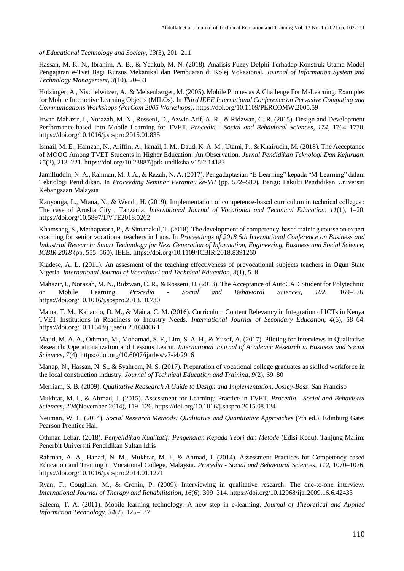*of Educational Technology and Society*, *13*(3), 201–211

Hassan, M. K. N., Ibrahim, A. B., & Yaakub, M. N. (2018). Analisis Fuzzy Delphi Terhadap Konstruk Utama Model Pengajaran e-Tvet Bagi Kursus Mekanikal dan Pembuatan di Kolej Vokasional. *Journal of Information System and Technology Management*, *3*(10), 20–33

Holzinger, A., Nischelwitzer, A., & Meisenberger, M. (2005). Mobile Phones as A Challenge For M-Learning: Examples for Mobile Interactive Learning Objects (MILOs). In *Third IEEE International Conference on Pervasive Computing and Communications Workshops (PerCom 2005 Workshops)*. https://doi.org/10.1109/PERCOMW.2005.59

Irwan Mahazir, I., Norazah, M. N., Rosseni, D., Azwin Arif, A. R., & Ridzwan, C. R. (2015). Design and Development Performance-based into Mobile Learning for TVET. *Procedia - Social and Behavioral Sciences*, *174*, 1764–1770. https://doi.org/10.1016/j.sbspro.2015.01.835

Ismail, M. E., Hamzah, N., Ariffin, A., Ismail, I. M., Daud, K. A. M., Utami, P., & Khairudin, M. (2018). The Acceptance of MOOC Among TVET Students in Higher Education: An Observation. *Jurnal Pendidikan Teknologi Dan Kejuruan*, *15*(2), 213–221. https://doi.org/10.23887/jptk-undiksha.v15i2.14183

Jamilluddin, N. A., Rahman, M. J. A., & Razali, N. A. (2017). Pengadaptasian "E-Learning" kepada "M-Learning" dalam Teknologi Pendidikan. In *Proceeding Seminar Perantau ke-VII* (pp. 572–580). Bangi: Fakulti Pendidikan Universiti Kebangsaan Malaysia

Kanyonga, L., Mtana, N., & Wendt, H. (2019). Implementation of competence-based curriculum in technical colleges : The case of Arusha City , Tanzania. *International Journal of Vocational and Technical Education*, *11*(1), 1–20. https://doi.org/10.5897/IJVTE2018.0262

Khamsang, S., Methapatara, P., & Sintanakul, T. (2018). The development of competency-based training course on expert coaching for senior vocational teachers in Laos. In *Proceedings of 2018 5th International Conference on Business and Industrial Research: Smart Technology for Next Generation of Information, Engineering, Business and Social Science, ICBIR 2018* (pp. 555–560). IEEE. https://doi.org/10.1109/ICBIR.2018.8391260

Kiadese, A. L. (2011). An assesment of the teaching effectiveness of prevocational subjects teachers in Ogun State Nigeria. *International Journal of Vocational and Technical Education*, *3*(1), 5–8

Mahazir, I., Norazah, M. N., Ridzwan, C. R., & Rosseni, D. (2013). The Acceptance of AutoCAD Student for Polytechnic on Mobile Learning. *Procedia - Social and Behavioral Sciences*, *102*, 169–176. https://doi.org/10.1016/j.sbspro.2013.10.730

Maina, T. M., Kahando, D. M., & Maina, C. M. (2016). Curriculum Content Relevancy in Integration of ICTs in Kenya TVET Institutions in Readiness to Industry Needs. *International Journal of Secondary Education*, *4*(6), 58–64. https://doi.org/10.11648/j.ijsedu.20160406.11

Majid, M. A. A., Othman, M., Mohamad, S. F., Lim, S. A. H., & Yusof, A. (2017). Piloting for Interviews in Qualitative Research: Operationalization and Lessons Learnt. *International Journal of Academic Research in Business and Social Sciences*, *7*(4). https://doi.org/10.6007/ijarbss/v7-i4/2916

Manap, N., Hassan, N. S., & Syahrom, N. S. (2017). Preparation of vocational college graduates as skilled workforce in the local construction industry. *Journal of Technical Education and Training*, *9*(2), 69–80

Merriam, S. B. (2009). *Qualitative Reasearch A Guide to Design and Implementation*. *Jossey-Bass*. San Franciso

Mukhtar, M. I., & Ahmad, J. (2015). Assessment for Learning: Practice in TVET. *Procedia - Social and Behavioral Sciences*, *204*(November 2014), 119–126. https://doi.org/10.1016/j.sbspro.2015.08.124

Neuman, W. L. (2014). *Social Research Methods: Qualitative and Quantitative Approaches* (7th ed.). Edinburg Gate: Pearson Prentice Hall

Othman Lebar. (2018). *Penyelidikan Kualitatif: Pengenalan Kepada Teori dan Metode* (Edisi Kedu). Tanjung Malim: Penerbit Universiti Pendidikan Sultan Idris

Rahman, A. A., Hanafi, N. M., Mukhtar, M. I., & Ahmad, J. (2014). Assessment Practices for Competency based Education and Training in Vocational College, Malaysia. *Procedia - Social and Behavioral Sciences*, *112*, 1070–1076. https://doi.org/10.1016/j.sbspro.2014.01.1271

Ryan, F., Coughlan, M., & Cronin, P. (2009). Interviewing in qualitative research: The one-to-one interview. *International Journal of Therapy and Rehabilitation*, *16*(6), 309–314. https://doi.org/10.12968/ijtr.2009.16.6.42433

Saleem, T. A. (2011). Mobile learning technology: A new step in e-learning. *Journal of Theoretical and Applied Information Technology*, *34*(2), 125–137